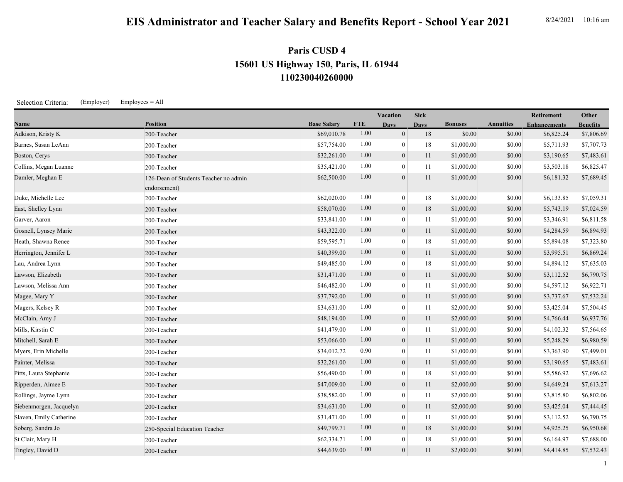## **EIS Administrator and Teacher Salary and Benefits Report - School Year 2021** 8/24/2021 10:16 am

## **110230040260000 15601 US Highway 150, Paris, IL 61944 Paris CUSD 4**

Selection Criteria: (Employer) Employees = All

|                         |                                       |                    | Vacation   |                  | <b>Sick</b> |                |                  | Retirement          | Other           |
|-------------------------|---------------------------------------|--------------------|------------|------------------|-------------|----------------|------------------|---------------------|-----------------|
| Name                    | <b>Position</b>                       | <b>Base Salary</b> | <b>FTE</b> | <b>Days</b>      | <b>Days</b> | <b>Bonuses</b> | <b>Annuities</b> | <b>Enhancements</b> | <b>Benefits</b> |
| Adkison, Kristy K       | 200-Teacher                           | \$69,010.78        | 1.00       | $\mathbf{0}$     | 18          | \$0.00         | \$0.00           | \$6,825.24          | \$7,806.69      |
| Barnes, Susan LeAnn     | 200-Teacher                           | \$57,754.00        | 1.00       | $\overline{0}$   | 18          | \$1,000.00     | \$0.00           | \$5,711.93          | \$7,707.73      |
| Boston, Cerys           | 200-Teacher                           | \$32,261.00        | 1.00       | $\mathbf{0}$     | 11          | \$1,000.00     | \$0.00           | \$3,190.65          | \$7,483.61      |
| Collins, Megan Luanne   | 200-Teacher                           | \$35,421.00        | 1.00       | $\theta$         | 11          | \$1,000.00     | \$0.00           | \$3,503.18          | \$6,825.47      |
| Damler, Meghan E        | 126-Dean of Students Teacher no admin | \$62,500.00        | 1.00       | $\overline{0}$   | 11          | \$1,000.00     | \$0.00           | \$6,181.32          | \$7,689.45      |
|                         | endorsement)                          |                    |            |                  |             |                |                  |                     |                 |
| Duke, Michelle Lee      | 200-Teacher                           | \$62,020.00        | 1.00       | $\overline{0}$   | 18          | \$1,000.00     | \$0.00           | \$6,133.85          | \$7,059.31      |
| East, Shelley Lynn      | 200-Teacher                           | \$58,070.00        | 1.00       | $\mathbf{0}$     | 18          | \$1,000.00     | \$0.00           | \$5,743.19          | \$7,024.59      |
| Garver, Aaron           | 200-Teacher                           | \$33,841.00        | 1.00       | $\overline{0}$   | 11          | \$1,000.00     | \$0.00           | \$3,346.91          | \$6,811.58      |
| Gosnell, Lynsey Marie   | 200-Teacher                           | \$43,322.00        | 1.00       | $\overline{0}$   | 11          | \$1,000.00     | \$0.00           | \$4,284.59          | \$6,894.93      |
| Heath, Shawna Renee     | 200-Teacher                           | \$59,595.71        | 1.00       | $\overline{0}$   | 18          | \$1,000.00     | \$0.00           | \$5,894.08          | \$7,323.80      |
| Herrington, Jennifer L  | 200-Teacher                           | \$40,399.00        | 1.00       | $\mathbf{0}$     | 11          | \$1,000.00     | \$0.00           | \$3,995.51          | \$6,869.24      |
| Lau, Andrea Lynn        | 200-Teacher                           | \$49,485.00        | 1.00       | $\overline{0}$   | 18          | \$1,000.00     | \$0.00           | \$4,894.12          | \$7,635.03      |
| Lawson, Elizabeth       | 200-Teacher                           | \$31,471.00        | 1.00       | $\overline{0}$   | 11          | \$1,000.00     | \$0.00           | \$3,112.52          | \$6,790.75      |
| Lawson, Melissa Ann     | 200-Teacher                           | \$46,482.00        | 1.00       | $\overline{0}$   | 11          | \$1,000.00     | \$0.00           | \$4,597.12          | \$6,922.71      |
| Magee, Mary Y           | 200-Teacher                           | \$37,792.00        | 1.00       | $\boldsymbol{0}$ | 11          | \$1,000.00     | \$0.00           | \$3,737.67          | \$7,532.24      |
| Magers, Kelsey R        | 200-Teacher                           | \$34,631.00        | 1.00       | $\mathbf{0}$     | 11          | \$2,000.00     | \$0.00           | \$3,425.04          | \$7,504.45      |
| McClain, Amy J          | 200-Teacher                           | \$48,194.00        | 1.00       | $\mathbf{0}$     | 11          | \$2,000.00     | \$0.00           | \$4,766.44          | \$6,937.76      |
| Mills, Kirstin C        | 200-Teacher                           | \$41,479.00        | 1.00       | $\overline{0}$   | 11          | \$1,000.00     | \$0.00           | \$4,102.32          | \$7,564.65      |
| Mitchell, Sarah E       | 200-Teacher                           | \$53,066.00        | 1.00       | $\boldsymbol{0}$ | 11          | \$1,000.00     | \$0.00           | \$5,248.29          | \$6,980.59      |
| Myers, Erin Michelle    | 200-Teacher                           | \$34,012.72        | 0.90       | $\overline{0}$   | 11          | \$1,000.00     | \$0.00           | \$3,363.90          | \$7,499.01      |
| Painter, Melissa        | 200-Teacher                           | \$32,261.00        | 1.00       | $\mathbf{0}$     | 11          | \$1,000.00     | \$0.00           | \$3,190.65          | \$7,483.61      |
| Pitts, Laura Stephanie  | 200-Teacher                           | \$56,490.00        | 1.00       | $\overline{0}$   | 18          | \$1,000.00     | \$0.00           | \$5,586.92          | \$7,696.62      |
| Ripperden, Aimee E      | 200-Teacher                           | \$47,009.00        | 1.00       | $\boldsymbol{0}$ | 11          | \$2,000.00     | \$0.00           | \$4,649.24          | \$7,613.27      |
| Rollings, Jayme Lynn    | 200-Teacher                           | \$38,582.00        | 1.00       | $\mathbf{0}$     | 11          | \$2,000.00     | \$0.00           | \$3,815.80          | \$6,802.06      |
| Siebenmorgen, Jacquelyn | 200-Teacher                           | \$34,631.00        | 1.00       | $\boldsymbol{0}$ | 11          | \$2,000.00     | \$0.00           | \$3,425.04          | \$7,444.45      |
| Slaven, Emily Catherine | 200-Teacher                           | \$31,471.00        | 1.00       | $\overline{0}$   | 11          | \$1,000.00     | \$0.00           | \$3,112.52          | \$6,790.75      |
| Soberg, Sandra Jo       | 250-Special Education Teacher         | \$49,799.71        | 1.00       | $\overline{0}$   | 18          | \$1,000.00     | \$0.00           | \$4,925.25          | \$6,950.68      |
| St Clair, Mary H        | 200-Teacher                           | \$62,334.71        | 1.00       | $\overline{0}$   | $18\,$      | \$1,000.00     | \$0.00           | \$6,164.97          | \$7,688.00      |
| Tingley, David D        | 200-Teacher                           | \$44,639.00        | 1.00       | $\overline{0}$   | 11          | \$2,000.00     | \$0.00           | \$4,414.85          | \$7,532.43      |